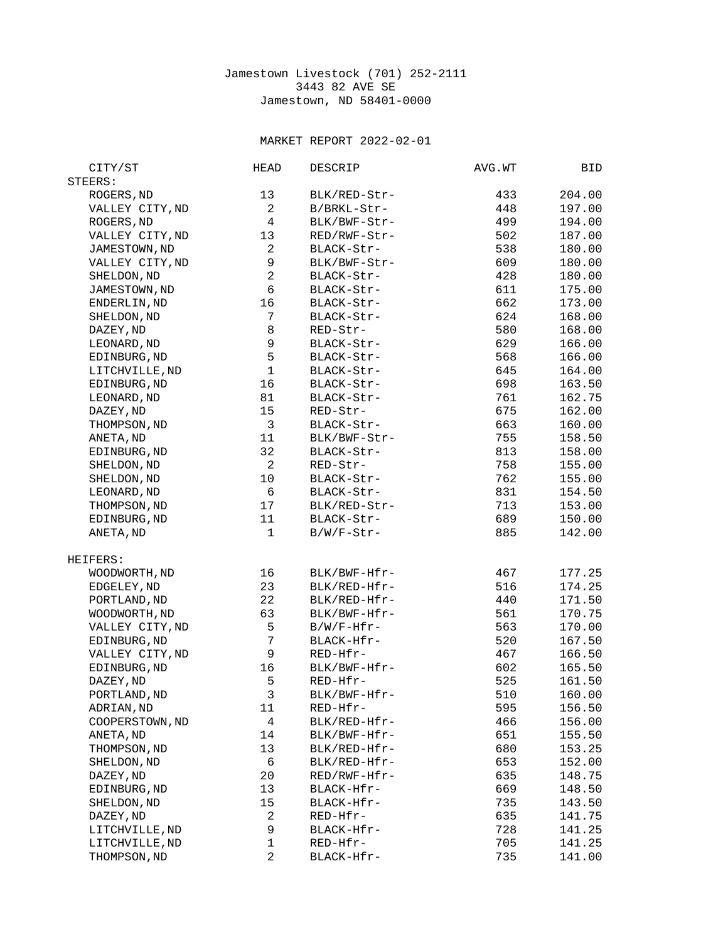## Jamestown Livestock (701) 252-2111 3443 82 AVE SE Jamestown, ND 58401-0000

## MARKET REPORT 2022-02-01

| CITY/ST         | HEAD                    | DESCRIP       | AVG.WT | BID    |
|-----------------|-------------------------|---------------|--------|--------|
| STEERS:         |                         |               |        |        |
| ROGERS, ND      | 13                      | BLK/RED-Str-  | 433    | 204.00 |
| VALLEY CITY, ND | $\overline{c}$          | B/BRKL-Str-   | 448    | 197.00 |
| ROGERS, ND      | 4                       | BLK/BWF-Str-  | 499    | 194.00 |
| VALLEY CITY, ND | 13                      | RED/RWF-Str-  | 502    | 187.00 |
| JAMESTOWN, ND   | $\overline{c}$          | BLACK-Str-    | 538    | 180.00 |
| VALLEY CITY, ND | 9                       | BLK/BWF-Str-  | 609    | 180.00 |
|                 | $\overline{c}$          |               |        |        |
| SHELDON, ND     |                         | BLACK-Str-    | 428    | 180.00 |
| JAMESTOWN, ND   | 6                       | BLACK-Str-    | 611    | 175.00 |
| ENDERLIN, ND    | 16                      | BLACK-Str-    | 662    | 173.00 |
| SHELDON, ND     | $\overline{7}$          | BLACK-Str-    | 624    | 168.00 |
| DAZEY, ND       | 8                       | RED-Str-      | 580    | 168.00 |
| LEONARD, ND     | 9                       | BLACK-Str-    | 629    | 166.00 |
| EDINBURG, ND    | 5                       | BLACK-Str-    | 568    | 166.00 |
| LITCHVILLE, ND  | $\mathbf{1}$            | BLACK-Str-    | 645    | 164.00 |
| EDINBURG, ND    | 16                      | BLACK-Str-    | 698    | 163.50 |
| LEONARD, ND     | 81                      | BLACK-Str-    | 761    | 162.75 |
| DAZEY, ND       | 15                      | RED-Str-      | 675    | 162.00 |
| THOMPSON, ND    | $\sqrt{3}$              | BLACK-Str-    | 663    | 160.00 |
| ANETA, ND       | 11                      | BLK/BWF-Str-  | 755    | 158.50 |
| EDINBURG, ND    | 32                      | BLACK-Str-    | 813    | 158.00 |
| SHELDON, ND     | $\overline{c}$          | RED-Str-      | 758    | 155.00 |
| SHELDON, ND     | 10                      | BLACK-Str-    | 762    | 155.00 |
| LEONARD, ND     | 6                       | BLACK-Str-    | 831    | 154.50 |
|                 | 17                      | BLK/RED-Str-  | 713    | 153.00 |
| THOMPSON, ND    |                         |               |        |        |
| EDINBURG, ND    | 11                      | BLACK-Str-    | 689    | 150.00 |
| ANETA, ND       | $\mathbf{1}$            | $B/W/F-Str-$  | 885    | 142.00 |
| HEIFERS:        |                         |               |        |        |
| WOODWORTH, ND   | 16                      | BLK/BWF-Hfr-  | 467    | 177.25 |
| EDGELEY, ND     | 23                      | BLK/RED-Hfr-  | 516    | 174.25 |
| PORTLAND, ND    | 22                      | BLK/RED-Hfr-  | 440    | 171.50 |
| WOODWORTH, ND   | 63                      | BLK/BWF-Hfr-  | 561    | 170.75 |
| VALLEY CITY, ND | 5                       | $B/W/F-Hfr$ - | 563    | 170.00 |
| EDINBURG, ND    | $\overline{7}$          | BLACK-Hfr-    | 520    | 167.50 |
| VALLEY CITY, ND | $\boldsymbol{9}$        | RED-Hfr-      | 467    | 166.50 |
| EDINBURG, ND    | 16                      | BLK/BWF-Hfr-  | 602    | 165.50 |
| DAZEY, ND       | 5                       | RED-Hfr-      | 525    | 161.50 |
|                 | 3                       |               |        |        |
| PORTLAND, ND    |                         | BLK/BWF-Hfr-  | 510    | 160.00 |
| ADRIAN, ND      | 11                      | RED-Hfr-      | 595    | 156.50 |
| COOPERSTOWN, ND | 4                       | BLK/RED-Hfr-  | 466    | 156.00 |
| ANETA, ND       | 14                      | BLK/BWF-Hfr-  | 651    | 155.50 |
| THOMPSON, ND    | 13                      | BLK/RED-Hfr-  | 680    | 153.25 |
| SHELDON, ND     | $\,6$                   | BLK/RED-Hfr-  | 653    | 152.00 |
| DAZEY, ND       | 20                      | RED/RWF-Hfr-  | 635    | 148.75 |
| EDINBURG, ND    | 13                      | BLACK-Hfr-    | 669    | 148.50 |
| SHELDON, ND     | 15                      | BLACK-Hfr-    | 735    | 143.50 |
| DAZEY, ND       | $\overline{\mathbf{c}}$ | RED-Hfr-      | 635    | 141.75 |
| LITCHVILLE, ND  | 9                       | BLACK-Hfr-    | 728    | 141.25 |
| LITCHVILLE, ND  | $\mathbf{1}$            | RED-Hfr-      | 705    | 141.25 |
| THOMPSON, ND    | $\overline{c}$          | BLACK-Hfr-    | 735    | 141.00 |